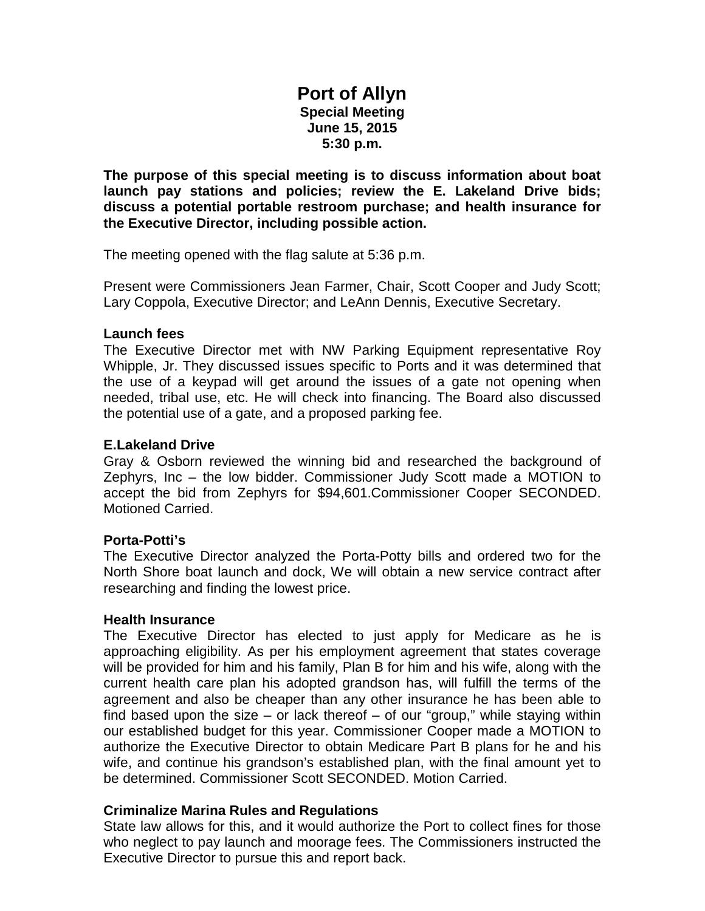# **Port of Allyn Special Meeting June 15, 2015 5:30 p.m.**

**The purpose of this special meeting is to discuss information about boat launch pay stations and policies; review the E. Lakeland Drive bids; discuss a potential portable restroom purchase; and health insurance for the Executive Director, including possible action.**

The meeting opened with the flag salute at 5:36 p.m.

Present were Commissioners Jean Farmer, Chair, Scott Cooper and Judy Scott; Lary Coppola, Executive Director; and LeAnn Dennis, Executive Secretary.

## **Launch fees**

The Executive Director met with NW Parking Equipment representative Roy Whipple, Jr. They discussed issues specific to Ports and it was determined that the use of a keypad will get around the issues of a gate not opening when needed, tribal use, etc. He will check into financing. The Board also discussed the potential use of a gate, and a proposed parking fee.

## **E.Lakeland Drive**

Gray & Osborn reviewed the winning bid and researched the background of Zephyrs, Inc – the low bidder. Commissioner Judy Scott made a MOTION to accept the bid from Zephyrs for \$94,601.Commissioner Cooper SECONDED. Motioned Carried.

# **Porta-Potti's**

The Executive Director analyzed the Porta-Potty bills and ordered two for the North Shore boat launch and dock, We will obtain a new service contract after researching and finding the lowest price.

#### **Health Insurance**

The Executive Director has elected to just apply for Medicare as he is approaching eligibility. As per his employment agreement that states coverage will be provided for him and his family, Plan B for him and his wife, along with the current health care plan his adopted grandson has, will fulfill the terms of the agreement and also be cheaper than any other insurance he has been able to find based upon the size  $-$  or lack thereof  $-$  of our "group," while staying within our established budget for this year. Commissioner Cooper made a MOTION to authorize the Executive Director to obtain Medicare Part B plans for he and his wife, and continue his grandson's established plan, with the final amount yet to be determined. Commissioner Scott SECONDED. Motion Carried.

# **Criminalize Marina Rules and Regulations**

State law allows for this, and it would authorize the Port to collect fines for those who neglect to pay launch and moorage fees. The Commissioners instructed the Executive Director to pursue this and report back.